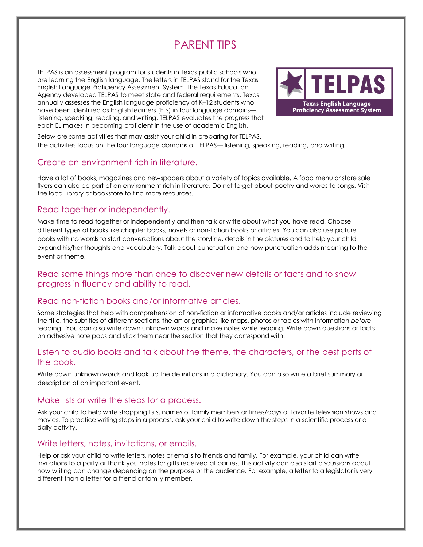# PARENT TIPS

TELPAS is an assessment program for students in Texas public schools who are learning the English language. The letters in TELPAS stand for the Texas English Language Proficiency Assessment System. The Texas Education Agency developed TELPAS to meet state and federal requirements. Texas annually assesses the English language proficiency of K–12 students who have been identified as English learners (ELs) in four language domains listening, speaking, reading, and writing. TELPAS evaluates the progress that each EL makes in becoming proficient in the use of academic English.



Below are some activities that may assist your child in preparing for TELPAS. The activities focus on the four language domains of TELPAS— listening, speaking, reading, and writing.

## Create an environment rich in literature.

Have a lot of books, magazines and newspapers about a variety of topics available. A food menu or store sale flyers can also be part of an environment rich in literature. Do not forget about poetry and words to songs. Visit the local library or bookstore to find more resources.

## Read together or independently.

Make time to read together or independently and then talk or write about what you have read. Choose different types of books like chapter books, novels or non-fiction books or articles. You can also use picture books with no words to start conversations about the storyline, details in the pictures and to help your child expand his/her thoughts and vocabulary. Talk about punctuation and how punctuation adds meaning to the event or theme.

## Read some things more than once to discover new details or facts and to show progress in fluency and ability to read.

## Read non-fiction books and/or informative articles.

Some strategies that help with comprehension of non-fiction or informative books and/or articles include reviewing the title, the subtitles of different sections, the art or graphics like maps, photos or tables with information *before* reading. You can also write down unknown words and make notes while reading. Write down questions or facts on adhesive note pads and stick them near the section that they correspond with.

## Listen to audio books and talk about the theme, the characters, or the best parts of the book.

Write down unknown words and look up the definitions in a dictionary. You can also write a brief summary or description of an important event.

#### Make lists or write the steps for a process.

Ask your child to help write shopping lists, names of family members or times/days of favorite television shows and movies. To practice writing steps in a process, ask your child to write down the steps in a scientific process or a daily activity.

## Write letters, notes, invitations, or emails.

Help or ask your child to write letters, notes or emails to friends and family. For example, your child can write invitations to a party or thank you notes for gifts received at parties. This activity can also start discussions about how writing can change depending on the purpose or the audience. For example, a letter to a legislator is very different than a letter for a friend or family member.